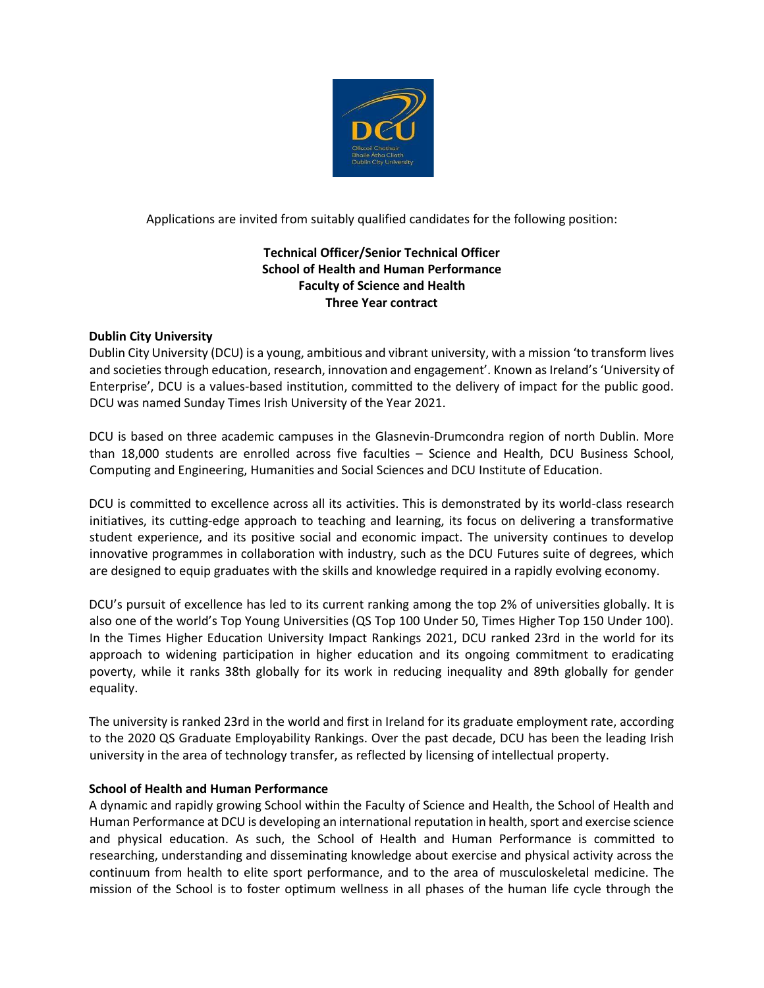

Applications are invited from suitably qualified candidates for the following position:

# **Technical Officer/Senior Technical Officer School of Health and Human Performance Faculty of Science and Health Three Year contract**

## **Dublin City University**

Dublin City University (DCU) is a young, ambitious and vibrant university, with a mission 'to transform lives and societies through education, research, innovation and engagement'. Known as Ireland's 'University of Enterprise', DCU is a values-based institution, committed to the delivery of impact for the public good. DCU was named Sunday Times Irish University of the Year 2021.

DCU is based on three academic campuses in the Glasnevin-Drumcondra region of north Dublin. More than 18,000 students are enrolled across five faculties – Science and Health, DCU Business School, Computing and Engineering, Humanities and Social Sciences and DCU Institute of Education.

DCU is committed to excellence across all its activities. This is demonstrated by its world-class research initiatives, its cutting-edge approach to teaching and learning, its focus on delivering a transformative student experience, and its positive social and economic impact. The university continues to develop innovative programmes in collaboration with industry, such as the DCU Futures suite of degrees, which are designed to equip graduates with the skills and knowledge required in a rapidly evolving economy.

DCU's pursuit of excellence has led to its current ranking among the top 2% of universities globally. It is also one of the world's Top Young Universities (QS Top 100 Under 50, Times Higher Top 150 Under 100). In the Times Higher Education University Impact Rankings 2021, DCU ranked 23rd in the world for its approach to widening participation in higher education and its ongoing commitment to eradicating poverty, while it ranks 38th globally for its work in reducing inequality and 89th globally for gender equality.

The university is ranked 23rd in the world and first in Ireland for its graduate employment rate, according to the 2020 QS Graduate Employability Rankings. Over the past decade, DCU has been the leading Irish university in the area of technology transfer, as reflected by licensing of intellectual property.

## **School of Health and Human Performance**

A dynamic and rapidly growing School within the Faculty of Science and Health, the School of Health and Human Performance at DCU is developing an international reputation in health, sport and exercise science and physical education. As such, the School of Health and Human Performance is committed to researching, understanding and disseminating knowledge about exercise and physical activity across the continuum from health to elite sport performance, and to the area of musculoskeletal medicine. The mission of the School is to foster optimum wellness in all phases of the human life cycle through the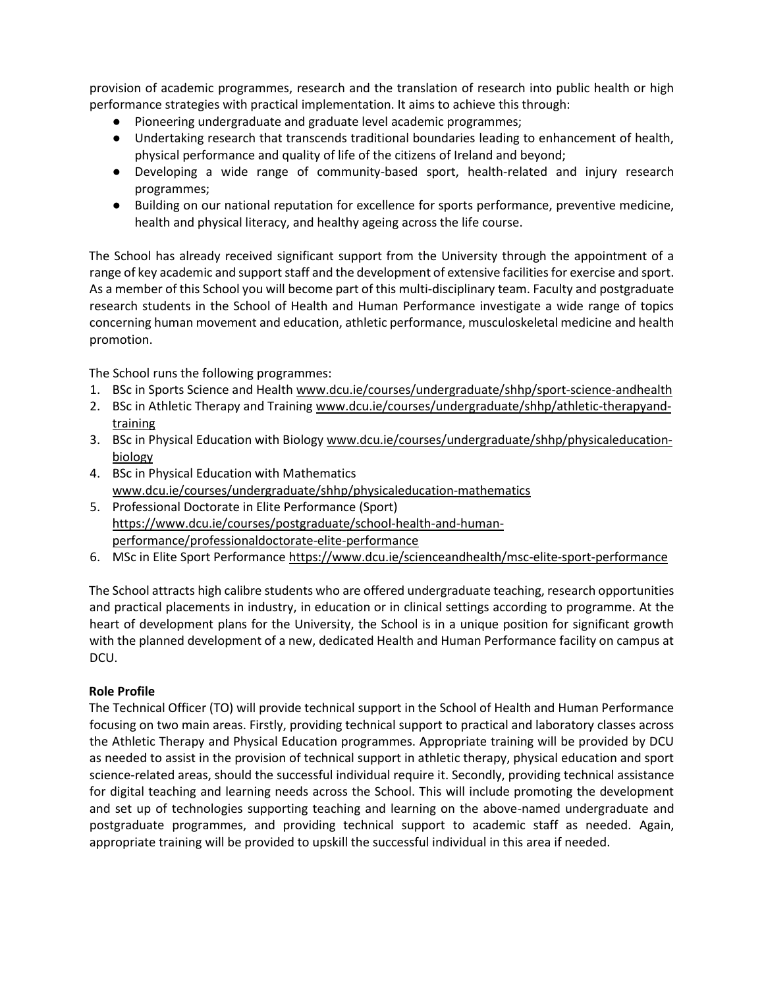provision of academic programmes, research and the translation of research into public health or high performance strategies with practical implementation. It aims to achieve this through:

- Pioneering undergraduate and graduate level academic programmes;
- Undertaking research that transcends traditional boundaries leading to enhancement of health, physical performance and quality of life of the citizens of Ireland and beyond;
- Developing a wide range of community-based sport, health-related and injury research programmes;
- Building on our national reputation for excellence for sports performance, preventive medicine, health and physical literacy, and healthy ageing across the life course.

The School has already received significant support from the University through the appointment of a range of key academic and support staff and the development of extensive facilities for exercise and sport. As a member of this School you will become part of this multi-disciplinary team. Faculty and postgraduate research students in the School of Health and Human Performance investigate a wide range of topics concerning human movement and education, athletic performance, musculoskeletal medicine and health promotion.

The School runs the following programmes:

- 1. BSc in Sports Science and Health [www.dcu.ie/courses/undergraduate/shhp/sport-science-andhealth](http://www.dcu.ie/courses/undergraduate/shhp/sport-science-and-health)
- 2. BSc in Athletic Therapy and Training [www.dcu.ie/courses/undergraduate/shhp/athletic-therapyand](http://www.dcu.ie/courses/undergraduate/shhp/athletic-therapy-and-training)[training](http://www.dcu.ie/courses/undergraduate/shhp/athletic-therapy-and-training)
- 3. BSc in Physical Education with Biology [www.dcu.ie/courses/undergraduate/shhp/physicaleducation](http://www.dcu.ie/courses/undergraduate/shhp/physical-education-biology)[biology](http://www.dcu.ie/courses/undergraduate/shhp/physical-education-biology)
- 4. BSc in Physical Education with Mathematics [www.dcu.ie/courses/undergraduate/shhp/physicaleducation-mathematics](http://www.dcu.ie/courses/undergraduate/shhp/physical-education-mathematics)
- 5. Professional Doctorate in Elite Performance (Sport) [https://www.dcu.ie/courses/postgraduate/school-health-and-human](https://www.dcu.ie/courses/postgraduate/school-health-and-human-performance/professional-doctorate-elite-performance)[performance/professionaldoctorate-elite-performance](https://www.dcu.ie/courses/postgraduate/school-health-and-human-performance/professional-doctorate-elite-performance)
- 6. MSc in Elite Sport Performanc[e https://www.dcu.ie/scienceandhealth/msc-elite-sport-performance](https://www.dcu.ie/scienceandhealth/msc-elite-sport-performance)

The School attracts high calibre students who are offered undergraduate teaching, research opportunities and practical placements in industry, in education or in clinical settings according to programme. At the heart of development plans for the University, the School is in a unique position for significant growth with the planned development of a new, dedicated Health and Human Performance facility on campus at DCU.

# **Role Profile**

The Technical Officer (TO) will provide technical support in the School of Health and Human Performance focusing on two main areas. Firstly, providing technical support to practical and laboratory classes across the Athletic Therapy and Physical Education programmes. Appropriate training will be provided by DCU as needed to assist in the provision of technical support in athletic therapy, physical education and sport science-related areas, should the successful individual require it. Secondly, providing technical assistance for digital teaching and learning needs across the School. This will include promoting the development and set up of technologies supporting teaching and learning on the above-named undergraduate and postgraduate programmes, and providing technical support to academic staff as needed. Again, appropriate training will be provided to upskill the successful individual in this area if needed.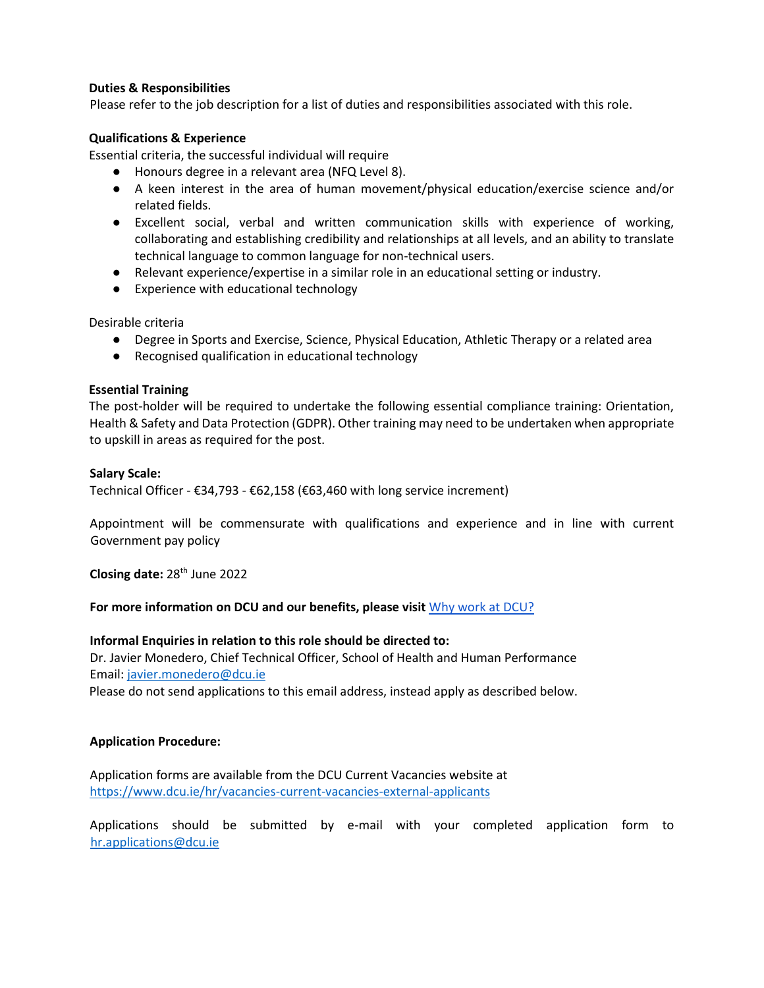## **Duties & Responsibilities**

Please refer to the job description for a list of duties and responsibilities associated with this role.

#### **Qualifications & Experience**

Essential criteria, the successful individual will require

- Honours degree in a relevant area (NFQ Level 8).
- A keen interest in the area of human movement/physical education/exercise science and/or related fields.
- Excellent social, verbal and written communication skills with experience of working, collaborating and establishing credibility and relationships at all levels, and an ability to translate technical language to common language for non-technical users.
- Relevant experience/expertise in a similar role in an educational setting or industry.
- Experience with educational technology

Desirable criteria

- Degree in Sports and Exercise, Science, Physical Education, Athletic Therapy or a related area
- Recognised qualification in educational technology

#### **Essential Training**

The post-holder will be required to undertake the following essential compliance training: Orientation, Health & Safety and Data Protection (GDPR). Other training may need to be undertaken when appropriate to upskill in areas as required for the post.

#### **Salary Scale:**

Technical Officer - €34,793 - €62,158 (€63,460 with long service increment)

Appointment will be commensurate with qualifications and experience and in line with current Government pay policy

**Closing date:** 28th June 2022

## **For more information on DCU and our benefits, please visit** [Why work at DCU?](https://www.dcu.ie/hr/why-work-dcu)

#### **Informal Enquiries in relation to this role should be directed to:**

Dr. Javier Monedero, Chief Technical Officer, School of Health and Human Performance Email: javier.monedero@dcu.ie

Please do not send applications to this email address, instead apply as described below.

## **Application Procedure:**

Application forms are available from the DCU Current Vacancies website at <https://www.dcu.ie/hr/vacancies-current-vacancies-external-applicants>

Applications should be submitted by e-mail with your completed application form to [hr.applications@dcu.ie](mailto:hr.applications@dcu.ie)